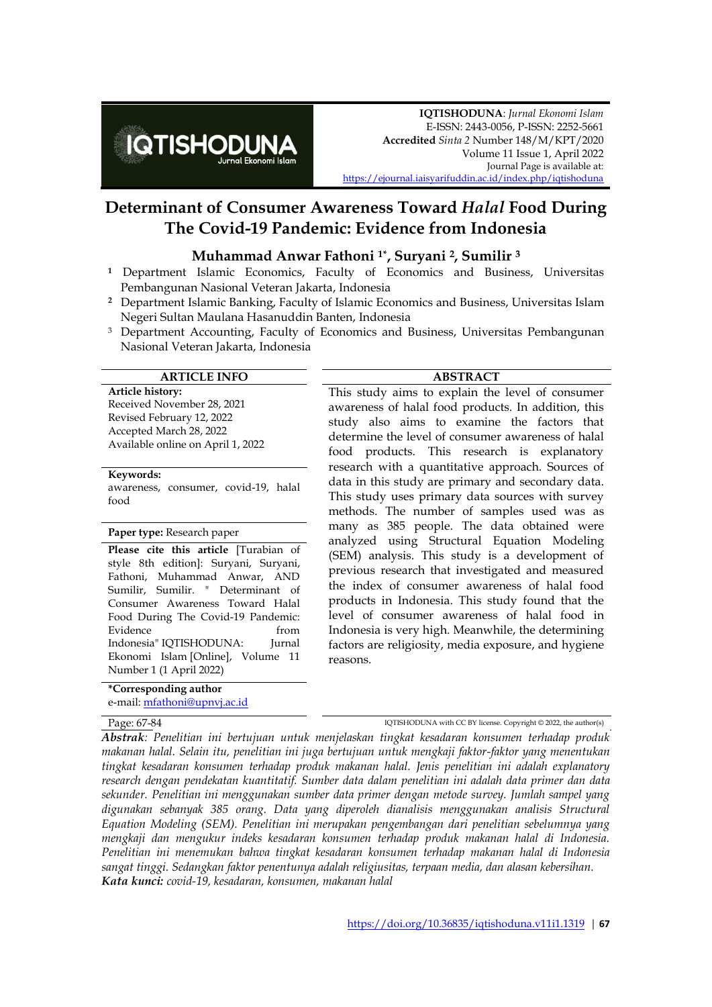

# **Determinant of Consumer Awareness Toward** *Halal* **Food During The Covid-19 Pandemic: Evidence from Indonesia**

#### **Muhammad Anwar Fathoni 1\* , Suryani <sup>2</sup>, Sumilir <sup>3</sup>**

- **<sup>1</sup>** Department Islamic Economics, Faculty of Economics and Business, Universitas Pembangunan Nasional Veteran Jakarta, Indonesia
- **<sup>2</sup>** Department Islamic Banking, Faculty of Islamic Economics and Business, Universitas Islam Negeri Sultan Maulana Hasanuddin Banten, Indonesia
- <sup>3</sup> Department Accounting, Faculty of Economics and Business, Universitas Pembangunan Nasional Veteran Jakarta, Indonesia

#### **ARTICLE INFO ABSTRACT**

**Article history:** Received November 28, 2021 Revised February 12, 2022 Accepted March 28, 2022 Available online on April 1, 2022

#### **Keywords:**

awareness, consumer, covid-19, halal food

#### **Paper type:** Research paper

**Please cite this article** [Turabian of style 8th edition]: Suryani, Suryani, Fathoni, Muhammad Anwar, AND Sumilir, Sumilir. " Determinant of Consumer Awareness Toward Halal Food During The Covid-19 Pandemic: Evidence from from Indonesia" IQTISHODUNA: Jurnal Ekonomi Islam [Online], Volume 11 Number 1 (1 April 2022)

**\*Corresponding author** e-mail: [mfathoni@upnvj.ac.id](mailto:mfathoni@upnvj.ac.id)

This study aims to explain the level of consumer awareness of halal food products. In addition, this study also aims to examine the factors that determine the level of consumer awareness of halal food products. This research is explanatory research with a quantitative approach. Sources of data in this study are primary and secondary data. This study uses primary data sources with survey methods. The number of samples used was as many as 385 people. The data obtained were analyzed using Structural Equation Modeling (SEM) analysis. This study is a development of previous research that investigated and measured the index of consumer awareness of halal food products in Indonesia. This study found that the level of consumer awareness of halal food in Indonesia is very high. Meanwhile, the determining factors are religiosity, media exposure, and hygiene reasons.

Page:  $67-84$  IQTISHODUNA with CC BY license. Copyright © 2022, the author(s)

*Abstrak: Penelitian ini bertujuan untuk menjelaskan tingkat kesadaran konsumen terhadap produk makanan halal. Selain itu, penelitian ini juga bertujuan untuk mengkaji faktor-faktor yang menentukan tingkat kesadaran konsumen terhadap produk makanan halal. Jenis penelitian ini adalah explanatory research dengan pendekatan kuantitatif. Sumber data dalam penelitian ini adalah data primer dan data sekunder. Penelitian ini menggunakan sumber data primer dengan metode survey. Jumlah sampel yang digunakan sebanyak 385 orang. Data yang diperoleh dianalisis menggunakan analisis Structural Equation Modeling (SEM). Penelitian ini merupakan pengembangan dari penelitian sebelumnya yang mengkaji dan mengukur indeks kesadaran konsumen terhadap produk makanan halal di Indonesia. Penelitian ini menemukan bahwa tingkat kesadaran konsumen terhadap makanan halal di Indonesia sangat tinggi. Sedangkan faktor penentunya adalah religiusitas, terpaan media, dan alasan kebersihan. Kata kunci: covid-19, kesadaran, konsumen, makanan halal*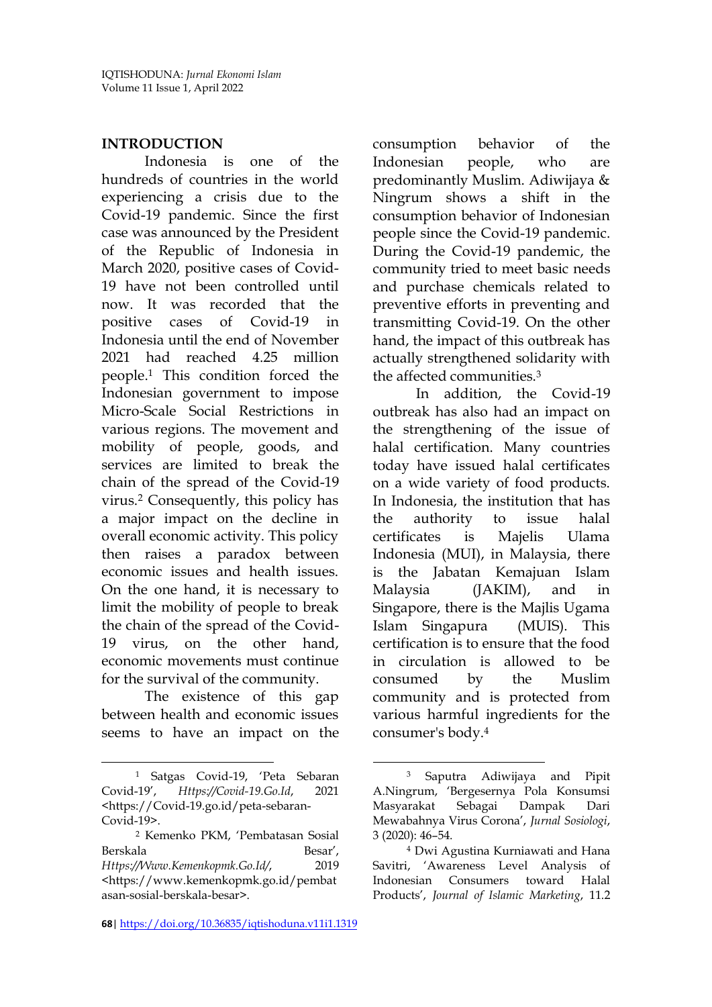#### **INTRODUCTION**

Indonesia is one of the hundreds of countries in the world experiencing a crisis due to the Covid-19 pandemic. Since the first case was announced by the President of the Republic of Indonesia in March 2020, positive cases of Covid-19 have not been controlled until now. It was recorded that the positive cases of Covid-19 in Indonesia until the end of November 2021 had reached 4.25 million people.<sup>1</sup> This condition forced the Indonesian government to impose Micro-Scale Social Restrictions in various regions. The movement and mobility of people, goods, and services are limited to break the chain of the spread of the Covid-19 virus.<sup>2</sup> Consequently, this policy has a major impact on the decline in overall economic activity. This policy then raises a paradox between economic issues and health issues. On the one hand, it is necessary to limit the mobility of people to break the chain of the spread of the Covid-19 virus, on the other hand, economic movements must continue for the survival of the community.

The existence of this gap between health and economic issues seems to have an impact on the consumption behavior of the Indonesian people, who are predominantly Muslim. Adiwijaya & Ningrum shows a shift in the consumption behavior of Indonesian people since the Covid-19 pandemic. During the Covid-19 pandemic, the community tried to meet basic needs and purchase chemicals related to preventive efforts in preventing and transmitting Covid-19. On the other hand, the impact of this outbreak has actually strengthened solidarity with the affected communities<sup>3</sup>

In addition, the Covid-19 outbreak has also had an impact on the strengthening of the issue of halal certification. Many countries today have issued halal certificates on a wide variety of food products. In Indonesia, the institution that has the authority to issue halal certificates is Majelis Ulama Indonesia (MUI), in Malaysia, there is the Jabatan Kemajuan Islam Malaysia (JAKIM), and in Singapore, there is the Majlis Ugama Islam Singapura (MUIS). This certification is to ensure that the food in circulation is allowed to be consumed by the Muslim community and is protected from various harmful ingredients for the consumer's body.<sup>4</sup>

 $\overline{a}$ 

 $\overline{a}$ <sup>1</sup> Satgas Covid-19, 'Peta Sebaran Covid-19', *Https://Covid-19.Go.Id*, 2021 <https://Covid-19.go.id/peta-sebaran-Covid-19>.

<sup>2</sup> Kemenko PKM, 'Pembatasan Sosial **Berskala** *Https://Www.Kemenkopmk.Go.Id/*, 2019 <https://www.kemenkopmk.go.id/pembat asan-sosial-berskala-besar>.

**<sup>68</sup>**| <https://doi.org/10.36835/iqtishoduna.v11i1.1319>

<sup>3</sup> Saputra Adiwijaya and Pipit A.Ningrum, 'Bergesernya Pola Konsumsi Masyarakat Sebagai Dampak Dari Mewabahnya Virus Corona', *Jurnal Sosiologi*, 3 (2020): 46–54.

<sup>4</sup> Dwi Agustina Kurniawati and Hana Savitri, 'Awareness Level Analysis of Indonesian Consumers toward Halal Products', *Journal of Islamic Marketing*, 11.2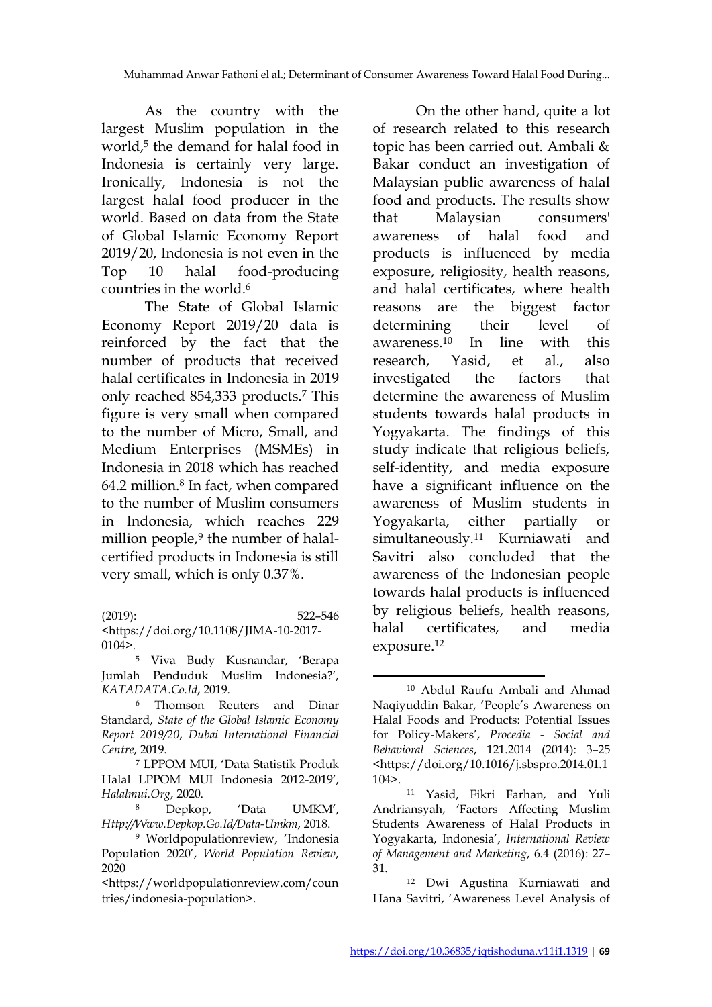$\overline{a}$ 

As the country with the largest Muslim population in the world,<sup>5</sup> the demand for halal food in Indonesia is certainly very large. Ironically, Indonesia is not the largest halal food producer in the world. Based on data from the State of Global Islamic Economy Report 2019/20, Indonesia is not even in the Top 10 halal food-producing countries in the world.<sup>6</sup>

The State of Global Islamic Economy Report 2019/20 data is reinforced by the fact that the number of products that received halal certificates in Indonesia in 2019 only reached 854,333 products.<sup>7</sup> This figure is very small when compared to the number of Micro, Small, and Medium Enterprises (MSMEs) in Indonesia in 2018 which has reached 64.2 million.<sup>8</sup> In fact, when compared to the number of Muslim consumers in Indonesia, which reaches 229 million people, $9$  the number of halalcertified products in Indonesia is still very small, which is only 0.37%.

| $(2019)$ :                                                               | 522–546 |
|--------------------------------------------------------------------------|---------|
| <https: 10.1108="" doi.org="" jima-10-2017-<="" th=""><td></td></https:> |         |
| 0104>.                                                                   |         |

<sup>5</sup> Viva Budy Kusnandar, 'Berapa Jumlah Penduduk Muslim Indonesia?', *KATADATA.Co.Id*, 2019.

On the other hand, quite a lot of research related to this research topic has been carried out. Ambali & Bakar conduct an investigation of Malaysian public awareness of halal food and products. The results show that Malaysian consumers' awareness of halal food and products is influenced by media exposure, religiosity, health reasons, and halal certificates, where health reasons are the biggest factor determining their level of awareness.<sup>10</sup> In line with this research, Yasid, et al., also investigated the factors that determine the awareness of Muslim students towards halal products in Yogyakarta. The findings of this study indicate that religious beliefs, self-identity, and media exposure have a significant influence on the awareness of Muslim students in Yogyakarta, either partially or simultaneously.<sup>11</sup> Kurniawati and Savitri also concluded that the awareness of the Indonesian people towards halal products is influenced by religious beliefs, health reasons, halal certificates, and media exposure.<sup>12</sup>

<sup>6</sup> Thomson Reuters and Dinar Standard, *State of the Global Islamic Economy Report 2019/20*, *Dubai International Financial Centre*, 2019.

<sup>7</sup> LPPOM MUI, 'Data Statistik Produk Halal LPPOM MUI Indonesia 2012-2019', *Halalmui.Org*, 2020.

<sup>8</sup> Depkop, 'Data UMKM', *Http://Www.Depkop.Go.Id/Data-Umkm*, 2018.

<sup>9</sup> Worldpopulationreview, 'Indonesia Population 2020', *World Population Review*, 2020

<sup>&</sup>lt;https://worldpopulationreview.com/coun tries/indonesia-population>.

<sup>10</sup> Abdul Raufu Ambali and Ahmad Naqiyuddin Bakar, 'People's Awareness on Halal Foods and Products: Potential Issues for Policy-Makers', *Procedia - Social and Behavioral Sciences*, 121.2014 (2014): 3–25 <https://doi.org/10.1016/j.sbspro.2014.01.1 104>.

<sup>11</sup> Yasid, Fikri Farhan, and Yuli Andriansyah, 'Factors Affecting Muslim Students Awareness of Halal Products in Yogyakarta, Indonesia', *International Review of Management and Marketing*, 6.4 (2016): 27– 31.

<sup>12</sup> Dwi Agustina Kurniawati and Hana Savitri, 'Awareness Level Analysis of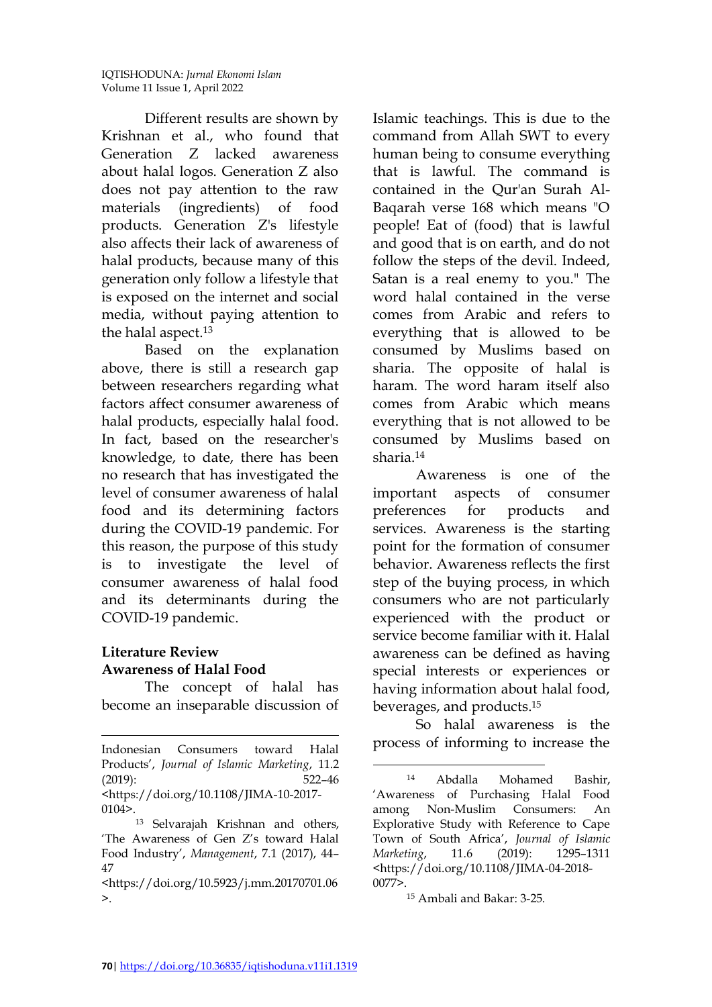Different results are shown by Krishnan et al., who found that Generation Z lacked awareness about halal logos. Generation Z also does not pay attention to the raw materials (ingredients) of food products. Generation Z's lifestyle also affects their lack of awareness of halal products, because many of this generation only follow a lifestyle that is exposed on the internet and social media, without paying attention to the halal aspect.<sup>13</sup>

Based on the explanation above, there is still a research gap between researchers regarding what factors affect consumer awareness of halal products, especially halal food. In fact, based on the researcher's knowledge, to date, there has been no research that has investigated the level of consumer awareness of halal food and its determining factors during the COVID-19 pandemic. For this reason, the purpose of this study is to investigate the level of consumer awareness of halal food and its determinants during the COVID-19 pandemic.

# **Literature Review Awareness of Halal Food**

The concept of halal has become an inseparable discussion of Islamic teachings. This is due to the command from Allah SWT to every human being to consume everything that is lawful. The command is contained in the Qur'an Surah Al-Baqarah verse 168 which means "O people! Eat of (food) that is lawful and good that is on earth, and do not follow the steps of the devil. Indeed, Satan is a real enemy to you." The word halal contained in the verse comes from Arabic and refers to everything that is allowed to be consumed by Muslims based on sharia. The opposite of halal is haram. The word haram itself also comes from Arabic which means everything that is not allowed to be consumed by Muslims based on sharia. 14

Awareness is one of the important aspects of consumer preferences for products and services. Awareness is the starting point for the formation of consumer behavior. Awareness reflects the first step of the buying process, in which consumers who are not particularly experienced with the product or service become familiar with it. Halal awareness can be defined as having special interests or experiences or having information about halal food, beverages, and products. 15

So halal awareness is the process of informing to increase the

 $\overline{a}$ Indonesian Consumers toward Halal Products', *Journal of Islamic Marketing*, 11.2 (2019): 522–46 <https://doi.org/10.1108/JIMA-10-2017-

 $0104$ .

<sup>13</sup> Selvarajah Krishnan and others, 'The Awareness of Gen Z's toward Halal Food Industry', *Management*, 7.1 (2017), 44– 47

<sup>&</sup>lt;https://doi.org/10.5923/j.mm.20170701.06  $\geq$ .

<sup>14</sup> Abdalla Mohamed Bashir, 'Awareness of Purchasing Halal Food among Non-Muslim Consumers: An Explorative Study with Reference to Cape Town of South Africa', *Journal of Islamic Marketing*, 11.6 (2019): 1295–1311 <https://doi.org/10.1108/JIMA-04-2018- 0077>.

<sup>15</sup> Ambali and Bakar: 3-25.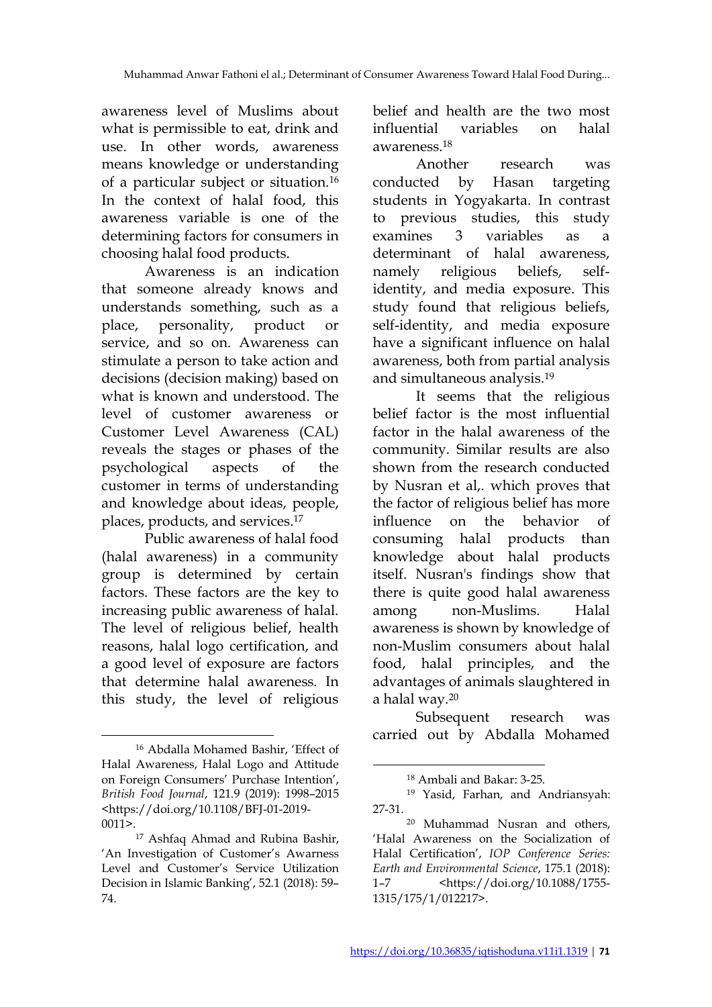awareness level of Muslims about what is permissible to eat, drink and use. In other words, awareness means knowledge or understanding of a particular subject or situation.<sup>16</sup> In the context of halal food, this awareness variable is one of the determining factors for consumers in choosing halal food products.

Awareness is an indication that someone already knows and understands something, such as a place, personality, product or service, and so on. Awareness can stimulate a person to take action and decisions (decision making) based on what is known and understood. The level of customer awareness or Customer Level Awareness (CAL) reveals the stages or phases of the psychological aspects of the customer in terms of understanding and knowledge about ideas, people, places, products, and services. 17

Public awareness of halal food (halal awareness) in a community group is determined by certain factors. These factors are the key to increasing public awareness of halal. The level of religious belief, health reasons, halal logo certification, and a good level of exposure are factors that determine halal awareness. In this study, the level of religious belief and health are the two most influential variables on halal awareness. 18

Another research was conducted by Hasan targeting students in Yogyakarta. In contrast to previous studies, this study examines 3 variables as a determinant of halal awareness, namely religious beliefs, selfidentity, and media exposure. This study found that religious beliefs, self-identity, and media exposure have a significant influence on halal awareness, both from partial analysis and simultaneous analysis. 19

It seems that the religious belief factor is the most influential factor in the halal awareness of the community. Similar results are also shown from the research conducted by Nusran et al,. which proves that the factor of religious belief has more influence on the behavior of consuming halal products than knowledge about halal products itself. Nusran's findings show that there is quite good halal awareness among non-Muslims. Halal awareness is shown by knowledge of non-Muslim consumers about halal food, halal principles, and the advantages of animals slaughtered in a halal way.<sup>20</sup>

Subsequent research was carried out by Abdalla Mohamed

 $\overline{a}$ <sup>16</sup> Abdalla Mohamed Bashir, 'Effect of Halal Awareness, Halal Logo and Attitude on Foreign Consumers' Purchase Intention', *British Food Journal*, 121.9 (2019): 1998–2015 <https://doi.org/10.1108/BFJ-01-2019-  $0011$ 

<sup>17</sup> Ashfaq Ahmad and Rubina Bashir, 'An Investigation of Customer's Awarness Level and Customer's Service Utilization Decision in Islamic Banking', 52.1 (2018): 59– 74.

<sup>18</sup> Ambali and Bakar: 3-25.

<sup>19</sup> Yasid, Farhan, and Andriansyah: 27-31.

<sup>20</sup> Muhammad Nusran and others, 'Halal Awareness on the Socialization of Halal Certification', *IOP Conference Series: Earth and Environmental Science*, 175.1 (2018): 1–7 <https://doi.org/10.1088/1755- 1315/175/1/012217>.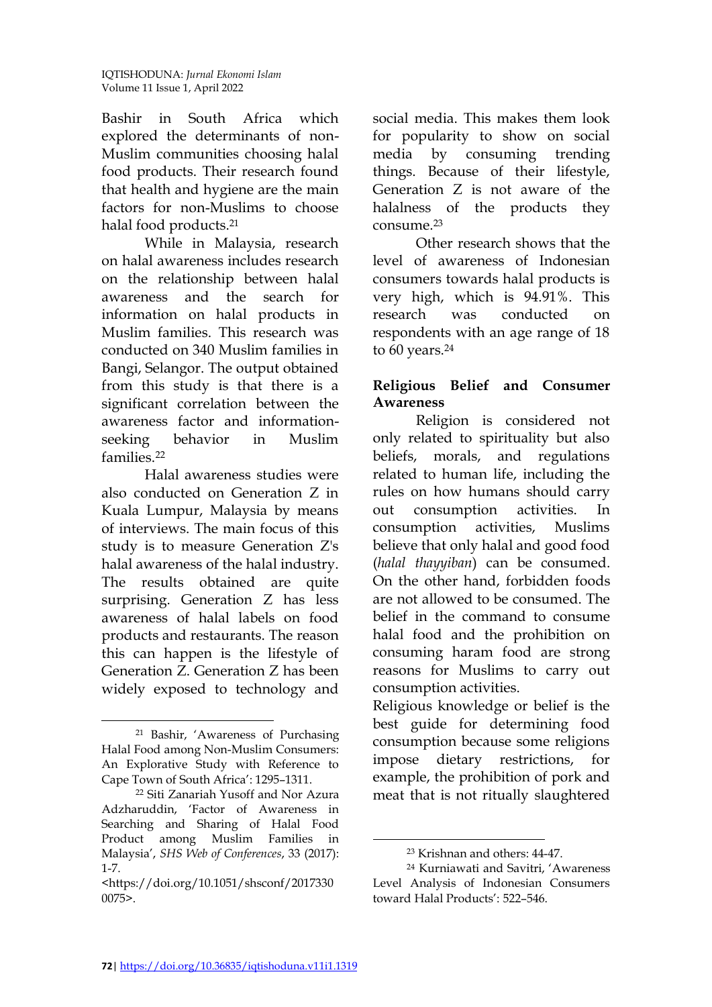Bashir in South Africa which explored the determinants of non-Muslim communities choosing halal food products. Their research found that health and hygiene are the main factors for non-Muslims to choose halal food products.<sup>21</sup>

While in Malaysia, research on halal awareness includes research on the relationship between halal awareness and the search for information on halal products in Muslim families. This research was conducted on 340 Muslim families in Bangi, Selangor. The output obtained from this study is that there is a significant correlation between the awareness factor and informationseeking behavior in Muslim families<sup>22</sup>

Halal awareness studies were also conducted on Generation Z in Kuala Lumpur, Malaysia by means of interviews. The main focus of this study is to measure Generation Z's halal awareness of the halal industry. The results obtained are quite surprising. Generation Z has less awareness of halal labels on food products and restaurants. The reason this can happen is the lifestyle of Generation Z. Generation Z has been widely exposed to technology and social media. This makes them look for popularity to show on social media by consuming trending things. Because of their lifestyle, Generation Z is not aware of the halalness of the products they consume.<sup>23</sup>

Other research shows that the level of awareness of Indonesian consumers towards halal products is very high, which is 94.91%. This research was conducted on respondents with an age range of 18 to 60 years.<sup>24</sup>

# **Religious Belief and Consumer Awareness**

Religion is considered not only related to spirituality but also beliefs, morals, and regulations related to human life, including the rules on how humans should carry out consumption activities. In consumption activities, Muslims believe that only halal and good food (*halal thayyiban*) can be consumed. On the other hand, forbidden foods are not allowed to be consumed. The belief in the command to consume halal food and the prohibition on consuming haram food are strong reasons for Muslims to carry out consumption activities.

Religious knowledge or belief is the best guide for determining food consumption because some religions impose dietary restrictions, for example, the prohibition of pork and meat that is not ritually slaughtered

 $\overline{a}$ <sup>21</sup> Bashir, 'Awareness of Purchasing Halal Food among Non-Muslim Consumers: An Explorative Study with Reference to Cape Town of South Africa': 1295–1311.

<sup>22</sup> Siti Zanariah Yusoff and Nor Azura Adzharuddin, 'Factor of Awareness in Searching and Sharing of Halal Food Product among Muslim Families in Malaysia', *SHS Web of Conferences*, 33 (2017): 1-7.

<sup>&</sup>lt;https://doi.org/10.1051/shsconf/2017330 0075>.

<sup>23</sup> Krishnan and others: 44-47.

<sup>24</sup> Kurniawati and Savitri, 'Awareness Level Analysis of Indonesian Consumers toward Halal Products': 522–546.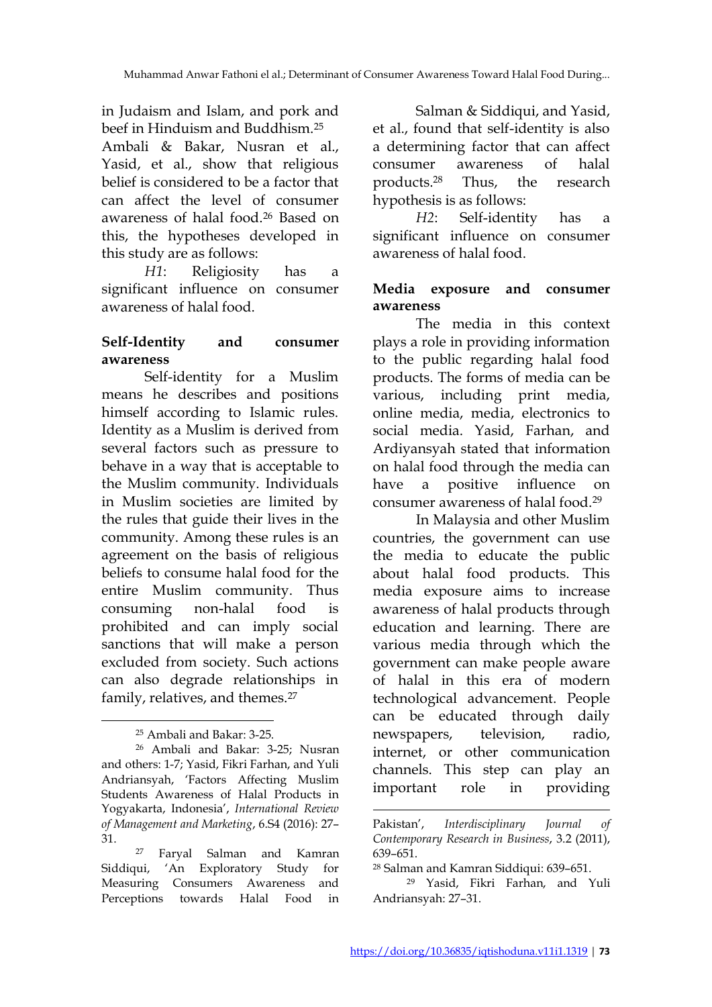in Judaism and Islam, and pork and beef in Hinduism and Buddhism.<sup>25</sup> Ambali & Bakar, Nusran et al., Yasid, et al., show that religious belief is considered to be a factor that can affect the level of consumer awareness of halal food.<sup>26</sup> Based on this, the hypotheses developed in this study are as follows:

*H1*: Religiosity has a significant influence on consumer awareness of halal food.

# **Self-Identity and consumer awareness**

Self-identity for a Muslim means he describes and positions himself according to Islamic rules. Identity as a Muslim is derived from several factors such as pressure to behave in a way that is acceptable to the Muslim community. Individuals in Muslim societies are limited by the rules that guide their lives in the community. Among these rules is an agreement on the basis of religious beliefs to consume halal food for the entire Muslim community. Thus consuming non-halal food is prohibited and can imply social sanctions that will make a person excluded from society. Such actions can also degrade relationships in family, relatives, and themes.<sup>27</sup>

 $\overline{a}$ 

Salman & Siddiqui, and Yasid, et al., found that self-identity is also a determining factor that can affect consumer awareness of halal products.<sup>28</sup> Thus, the research hypothesis is as follows:

*H2*: Self-identity has a significant influence on consumer awareness of halal food.

# **Media exposure and consumer awareness**

The media in this context plays a role in providing information to the public regarding halal food products. The forms of media can be various, including print media, online media, media, electronics to social media. Yasid, Farhan, and Ardiyansyah stated that information on halal food through the media can have a positive influence on consumer awareness of halal food.<sup>29</sup>

In Malaysia and other Muslim countries, the government can use the media to educate the public about halal food products. This media exposure aims to increase awareness of halal products through education and learning. There are various media through which the government can make people aware of halal in this era of modern technological advancement. People can be educated through daily newspapers, television, radio, internet, or other communication channels. This step can play an important role in providing

1

<sup>25</sup> Ambali and Bakar: 3-25.

<sup>26</sup> Ambali and Bakar: 3-25; Nusran and others: 1-7; Yasid, Fikri Farhan, and Yuli Andriansyah, 'Factors Affecting Muslim Students Awareness of Halal Products in Yogyakarta, Indonesia', *International Review of Management and Marketing*, 6.S4 (2016): 27– 31.

<sup>27</sup> Faryal Salman and Kamran Siddiqui, 'An Exploratory Study for Measuring Consumers Awareness and Perceptions towards Halal Food in

Pakistan', *Interdisciplinary Journal of Contemporary Research in Business*, 3.2 (2011), 639–651.

<sup>28</sup> Salman and Kamran Siddiqui: 639–651.

<sup>29</sup> Yasid, Fikri Farhan, and Yuli Andriansyah: 27–31.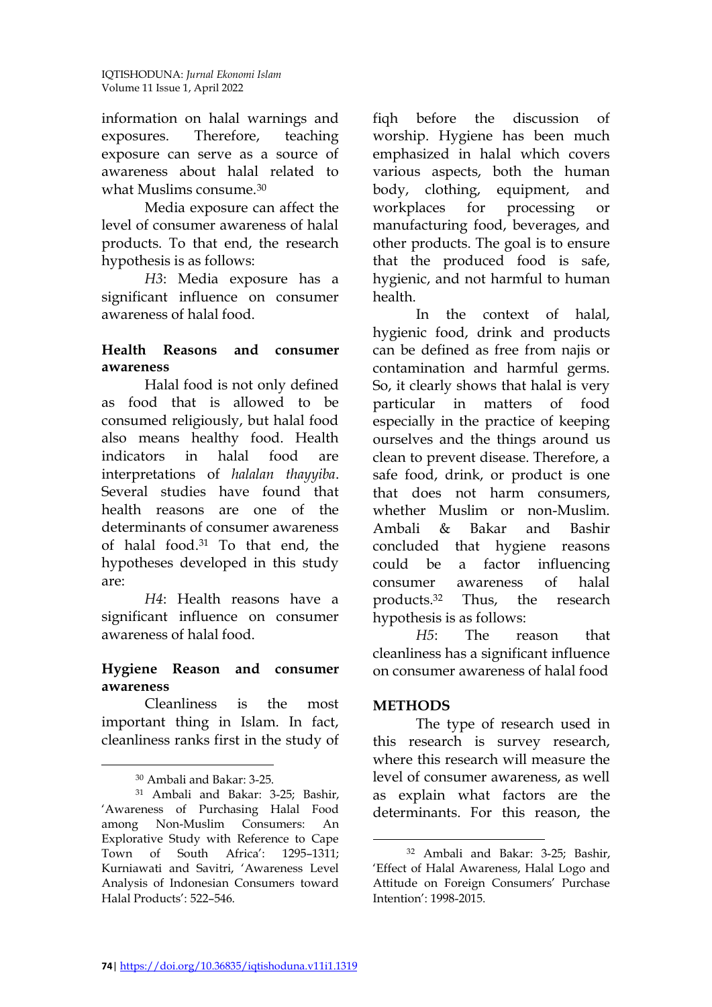information on halal warnings and exposures. Therefore, teaching exposure can serve as a source of awareness about halal related to what Muslims consume.<sup>30</sup>

Media exposure can affect the level of consumer awareness of halal products. To that end, the research hypothesis is as follows:

*H3*: Media exposure has a significant influence on consumer awareness of halal food.

# **Health Reasons and consumer awareness**

Halal food is not only defined as food that is allowed to be consumed religiously, but halal food also means healthy food. Health indicators in halal food are interpretations of *halalan thayyiba*. Several studies have found that health reasons are one of the determinants of consumer awareness of halal food. <sup>31</sup> To that end, the hypotheses developed in this study are:

*H4*: Health reasons have a significant influence on consumer awareness of halal food.

# **Hygiene Reason and consumer awareness**

Cleanliness is the most important thing in Islam. In fact, cleanliness ranks first in the study of

 $\overline{a}$ 

fiqh before the discussion of worship. Hygiene has been much emphasized in halal which covers various aspects, both the human body, clothing, equipment, and workplaces for processing or manufacturing food, beverages, and other products. The goal is to ensure that the produced food is safe, hygienic, and not harmful to human health.

In the context of halal, hygienic food, drink and products can be defined as free from najis or contamination and harmful germs. So, it clearly shows that halal is very particular in matters of food especially in the practice of keeping ourselves and the things around us clean to prevent disease. Therefore, a safe food, drink, or product is one that does not harm consumers, whether Muslim or non-Muslim. Ambali & Bakar and Bashir concluded that hygiene reasons could be a factor influencing consumer awareness of halal products.<sup>32</sup> Thus, the research hypothesis is as follows:

*H5*: The reason that cleanliness has a significant influence on consumer awareness of halal food

#### **METHODS**

l

The type of research used in this research is survey research, where this research will measure the level of consumer awareness, as well as explain what factors are the determinants. For this reason, the

<sup>30</sup> Ambali and Bakar: 3-25.

<sup>31</sup> Ambali and Bakar: 3-25; Bashir, 'Awareness of Purchasing Halal Food among Non-Muslim Consumers: An Explorative Study with Reference to Cape Town of South Africa': 1295–1311; Kurniawati and Savitri, 'Awareness Level Analysis of Indonesian Consumers toward Halal Products': 522–546.

<sup>32</sup> Ambali and Bakar: 3-25; Bashir, 'Effect of Halal Awareness, Halal Logo and Attitude on Foreign Consumers' Purchase Intention': 1998-2015.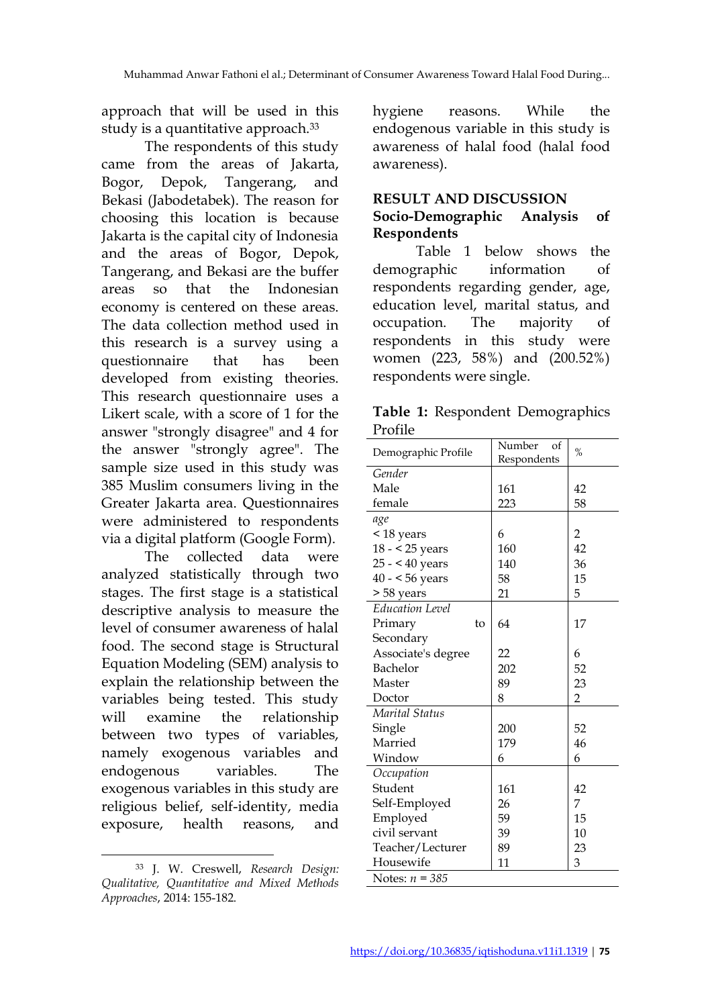approach that will be used in this study is a quantitative approach.<sup>33</sup>

The respondents of this study came from the areas of Jakarta, Bogor, Depok, Tangerang, and Bekasi (Jabodetabek). The reason for choosing this location is because Jakarta is the capital city of Indonesia and the areas of Bogor, Depok, Tangerang, and Bekasi are the buffer areas so that the Indonesian economy is centered on these areas. The data collection method used in this research is a survey using a questionnaire that has been developed from existing theories. This research questionnaire uses a Likert scale, with a score of 1 for the answer "strongly disagree" and 4 for the answer "strongly agree". The sample size used in this study was 385 Muslim consumers living in the Greater Jakarta area. Questionnaires were administered to respondents via a digital platform (Google Form).

The collected data were analyzed statistically through two stages. The first stage is a statistical descriptive analysis to measure the level of consumer awareness of halal food. The second stage is Structural Equation Modeling (SEM) analysis to explain the relationship between the variables being tested. This study will examine the relationship between two types of variables, namely exogenous variables and endogenous variables. The exogenous variables in this study are religious belief, self-identity, media exposure, health reasons, and

hygiene reasons. While the endogenous variable in this study is awareness of halal food (halal food awareness).

# **RESULT AND DISCUSSION**

# **Socio-Demographic Analysis of Respondents**

Table 1 below shows the demographic information of respondents regarding gender, age, education level, marital status, and occupation. The majority of respondents in this study were women (223, 58%) and (200.52%) respondents were single.

|         | Table 1: Respondent Demographics |
|---------|----------------------------------|
| Profile |                                  |

| Demographic Profile    | Number<br>of<br>$\frac{0}{0}$ |                |
|------------------------|-------------------------------|----------------|
|                        | Respondents                   |                |
| Gender                 |                               |                |
| Male                   | 161                           | 42             |
| female                 | 223                           | 58             |
| age                    |                               |                |
| < 18 years             | 6                             | $\overline{c}$ |
| $18 - 25$ years        | 160                           | 42             |
| $25 - 40$ years        | 140                           | 36             |
| $40 - 56$ years        | 58                            | 15             |
| > 58 years             | 21                            | 5              |
| <b>Education Level</b> |                               |                |
| Primary<br>to          | 64                            | 17             |
| Secondary              |                               |                |
| Associate's degree     | 22                            | 6              |
| Bachelor               | 202                           | 52             |
| Master                 | 89                            | 23             |
| Doctor                 | 8                             | $\overline{2}$ |
| Marital Status         |                               |                |
| Single                 | 200                           | 52             |
| Married                | 179                           | 46             |
| Window                 | 6                             | 6              |
| Occupation             |                               |                |
| Student                | 161                           | 42             |
| Self-Employed          | 26                            | 7              |
| Employed               | 59                            | 15             |
| civil servant          | 39                            | 10             |
| Teacher/Lecturer       | 89                            | 23             |
| Housewife              | 11                            | 3              |
| Notes: $n = 385$       |                               |                |

 $\overline{a}$ <sup>33</sup> J. W. Creswell, *Research Design: Qualitative, Quantitative and Mixed Methods Approaches*, 2014: 155-182.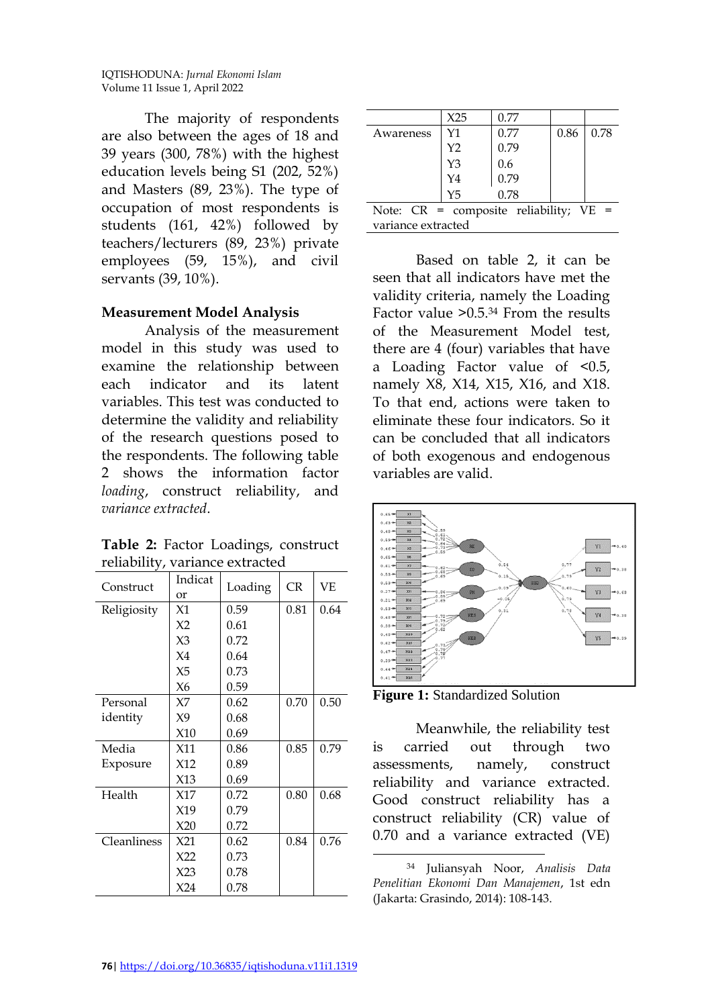The majority of respondents are also between the ages of 18 and 39 years (300, 78%) with the highest education levels being S1 (202, 52%) and Masters (89, 23%). The type of occupation of most respondents is students (161, 42%) followed by teachers/lecturers (89, 23%) private employees (59, 15%), and civil servants (39, 10%).

# **Measurement Model Analysis**

Analysis of the measurement model in this study was used to examine the relationship between each indicator and its latent variables. This test was conducted to determine the validity and reliability of the research questions posed to the respondents. The following table 2 shows the information factor *loading*, construct reliability, and *variance extracted*.

**Table 2:** Factor Loadings, construct reliability, variance extracted

| Construct   | Indicat<br><b>or</b> | Loading | <b>CR</b> | <b>VE</b> |
|-------------|----------------------|---------|-----------|-----------|
| Religiosity | X1                   | 0.59    | 0.81      | 0.64      |
|             | X <sub>2</sub>       | 0.61    |           |           |
|             | X3                   | 0.72    |           |           |
|             | X4                   | 0.64    |           |           |
|             | X <sub>5</sub>       | 0.73    |           |           |
|             | X6                   | 0.59    |           |           |
| Personal    | X7                   | 0.62    | 0.70      | 0.50      |
| identity    | X9                   | 0.68    |           |           |
|             | X10                  | 0.69    |           |           |
| Media       | X11                  | 0.86    | 0.85      | 0.79      |
| Exposure    | X12                  | 0.89    |           |           |
|             | X13                  | 0.69    |           |           |
| Health      | X17                  | 0.72    | 0.80      | 0.68      |
|             | X19                  | 0.79    |           |           |
|             | X20                  | 0.72    |           |           |
| Cleanliness | X21                  | 0.62    | 0.84      | 0.76      |
|             | X22                  | 0.73    |           |           |
|             | X23                  | 0.78    |           |           |
|             | X24                  | 0.78    |           |           |

|                                             | X25            | 0.77 |      |      |
|---------------------------------------------|----------------|------|------|------|
| Awareness                                   | Y1             | 0.77 | 0.86 | 0.78 |
|                                             | Y <sub>2</sub> | 0.79 |      |      |
|                                             | Y3             | 0.6  |      |      |
|                                             | Y <sub>4</sub> | 0.79 |      |      |
|                                             | Y <sub>5</sub> | 0.78 |      |      |
| Note: $CR = composite reliability$ ; $VE =$ |                |      |      |      |
| variance extracted                          |                |      |      |      |

Based on table 2, it can be seen that all indicators have met the validity criteria, namely the Loading Factor value >0.5.<sup>34</sup> From the results of the Measurement Model test, there are 4 (four) variables that have a Loading Factor value of <0.5, namely X8, X14, X15, X16, and X18. To that end, actions were taken to eliminate these four indicators. So it can be concluded that all indicators of both exogenous and endogenous variables are valid.





Meanwhile, the reliability test is carried out through two assessments, namely, construct reliability and variance extracted. Good construct reliability has a construct reliability (CR) value of 0.70 and a variance extracted (VE)

<sup>34</sup> Juliansyah Noor, *Analisis Data Penelitian Ekonomi Dan Manajemen*, 1st edn (Jakarta: Grasindo, 2014): 108-143.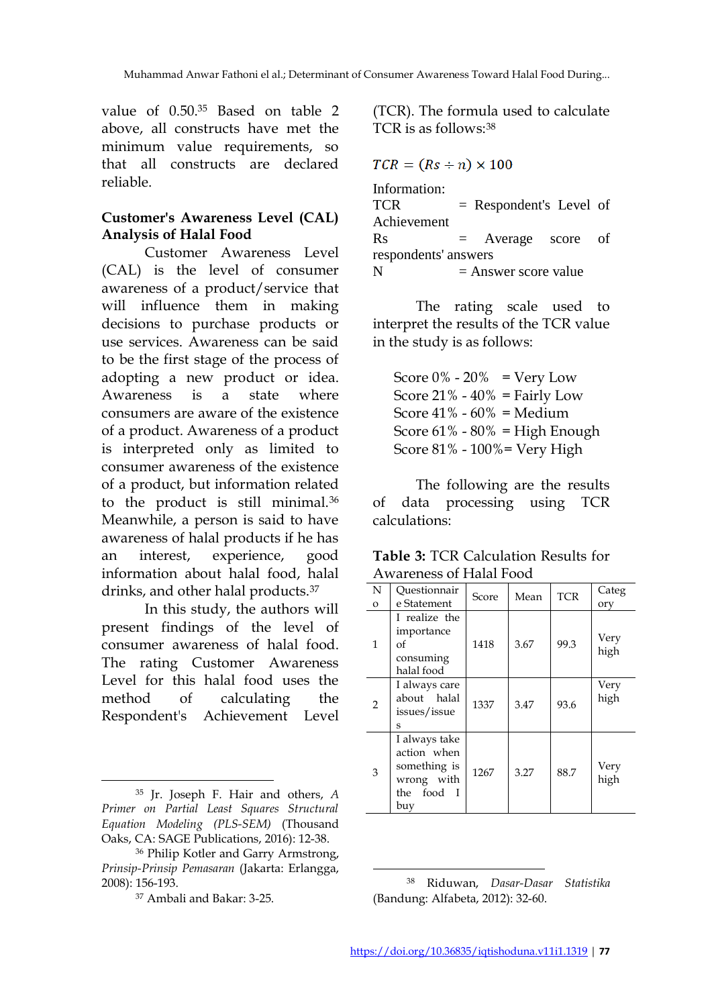value of 0.50.<sup>35</sup> Based on table 2 above, all constructs have met the minimum value requirements, so that all constructs are declared reliable.

# **Customer's Awareness Level (CAL) Analysis of Halal Food**

Customer Awareness Level (CAL) is the level of consumer awareness of a product/service that will influence them in making decisions to purchase products or use services. Awareness can be said to be the first stage of the process of adopting a new product or idea. Awareness is a state where consumers are aware of the existence of a product. Awareness of a product is interpreted only as limited to consumer awareness of the existence of a product, but information related to the product is still minimal.<sup>36</sup> Meanwhile, a person is said to have awareness of halal products if he has an interest, experience, good information about halal food, halal drinks, and other halal products.<sup>37</sup>

In this study, the authors will present findings of the level of consumer awareness of halal food. The rating Customer Awareness Level for this halal food uses the method of calculating the Respondent's Achievement Level

 $\overline{a}$ 

(TCR). The formula used to calculate TCR is as follows:<sup>38</sup>

$$
TCR = (Rs + n) \times 100
$$

| Information:         |                           |  |
|----------------------|---------------------------|--|
| <b>TCR</b>           | $=$ Respondent's Level of |  |
| Achievement          |                           |  |
| Rs                   | $=$ Average score of      |  |
| respondents' answers |                           |  |
| N                    | $=$ Answer score value    |  |

The rating scale used to interpret the results of the TCR value in the study is as follows:

Score  $0\%$  -  $20\%$  = Very Low Score  $21\% - 40\% = \text{Fairly Low}$ Score  $41\% - 60\% =$  Medium Score  $61\% - 80\% =$  High Enough Score 81% - 100%= Very High

The following are the results of data processing using TCR calculations:

|                | l în dichess of Fididi I ood                                                    |       |      |            |              |
|----------------|---------------------------------------------------------------------------------|-------|------|------------|--------------|
| N              | Questionnair                                                                    | Score | Mean | <b>TCR</b> | Categ        |
| $\mathbf O$    | e Statement                                                                     |       |      |            | ory          |
| 1              | I realize the<br>importance<br>of<br>consuming<br>halal food                    | 1418  | 3.67 | 99.3       | Very<br>high |
| $\overline{2}$ | I always care<br>about halal<br>issues/issue<br>S                               | 1337  | 3.47 | 93.6       | Very<br>high |
| 3              | I always take<br>action when<br>something is<br>wrong with<br>the food I<br>buy | 1267  | 3.27 | 88.7       | Very<br>high |

**Table 3:** TCR Calculation Results for Awareness of Halal Food

 $\overline{a}$ 

<sup>35</sup> Jr. Joseph F. Hair and others, *A Primer on Partial Least Squares Structural Equation Modeling (PLS-SEM)* (Thousand Oaks, CA: SAGE Publications, 2016): 12-38.

<sup>36</sup> Philip Kotler and Garry Armstrong, *Prinsip-Prinsip Pemasaran* (Jakarta: Erlangga, 2008): 156-193.

<sup>37</sup> Ambali and Bakar: 3-25.

<sup>38</sup> Riduwan, *Dasar-Dasar Statistika* (Bandung: Alfabeta, 2012): 32-60.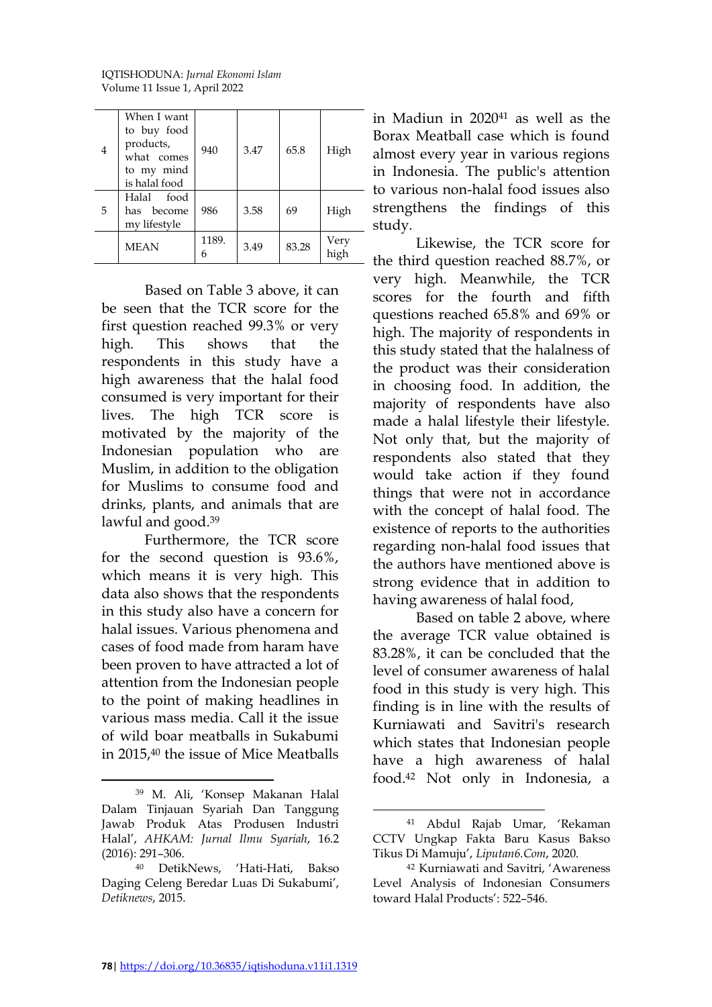IQTISHODUNA: *Jurnal Ekonomi Islam* Volume 11 Issue 1, April 2022

| $\overline{4}$ | When I want<br>to buy food<br>products,<br>what comes<br>to my mind<br>is halal food | 940        | 3.47 | 65.8  | High         |
|----------------|--------------------------------------------------------------------------------------|------------|------|-------|--------------|
| 5              | Halal food<br>has become<br>my lifestyle                                             | 986        | 3.58 | 69    | High         |
|                | <b>MEAN</b>                                                                          | 1189.<br>6 | 3.49 | 83.28 | Very<br>high |

Based on Table 3 above, it can be seen that the TCR score for the first question reached 99.3% or very high. This shows that the respondents in this study have a high awareness that the halal food consumed is very important for their lives. The high TCR score is motivated by the majority of the Indonesian population who are Muslim, in addition to the obligation for Muslims to consume food and drinks, plants, and animals that are lawful and good. 39

Furthermore, the TCR score for the second question is 93.6%, which means it is very high. This data also shows that the respondents in this study also have a concern for halal issues. Various phenomena and cases of food made from haram have been proven to have attracted a lot of attention from the Indonesian people to the point of making headlines in various mass media. Call it the issue of wild boar meatballs in Sukabumi in 2015,<sup>40</sup> the issue of Mice Meatballs

 $\overline{a}$ 

in Madiun in 2020<sup>41</sup> as well as the Borax Meatball case which is found almost every year in various regions in Indonesia. The public's attention to various non-halal food issues also strengthens the findings of this study.

Likewise, the TCR score for the third question reached 88.7%, or very high. Meanwhile, the TCR scores for the fourth and fifth questions reached 65.8% and 69% or high. The majority of respondents in this study stated that the halalness of the product was their consideration in choosing food. In addition, the majority of respondents have also made a halal lifestyle their lifestyle. Not only that, but the majority of respondents also stated that they would take action if they found things that were not in accordance with the concept of halal food. The existence of reports to the authorities regarding non-halal food issues that the authors have mentioned above is strong evidence that in addition to having awareness of halal food,

Based on table 2 above, where the average TCR value obtained is 83.28%, it can be concluded that the level of consumer awareness of halal food in this study is very high. This finding is in line with the results of Kurniawati and Savitri's research which states that Indonesian people have a high awareness of halal food.<sup>42</sup> Not only in Indonesia, a

<sup>39</sup> M. Ali, 'Konsep Makanan Halal Dalam Tinjauan Syariah Dan Tanggung Jawab Produk Atas Produsen Industri Halal', *AHKAM: Jurnal Ilmu Syariah*, 16.2 (2016): 291–306.

<sup>40</sup> DetikNews, 'Hati-Hati, Bakso Daging Celeng Beredar Luas Di Sukabumi', *Detiknews*, 2015.

<sup>41</sup> Abdul Rajab Umar, 'Rekaman CCTV Ungkap Fakta Baru Kasus Bakso Tikus Di Mamuju', *Liputan6.Com*, 2020.

<sup>42</sup> Kurniawati and Savitri, 'Awareness Level Analysis of Indonesian Consumers toward Halal Products': 522–546.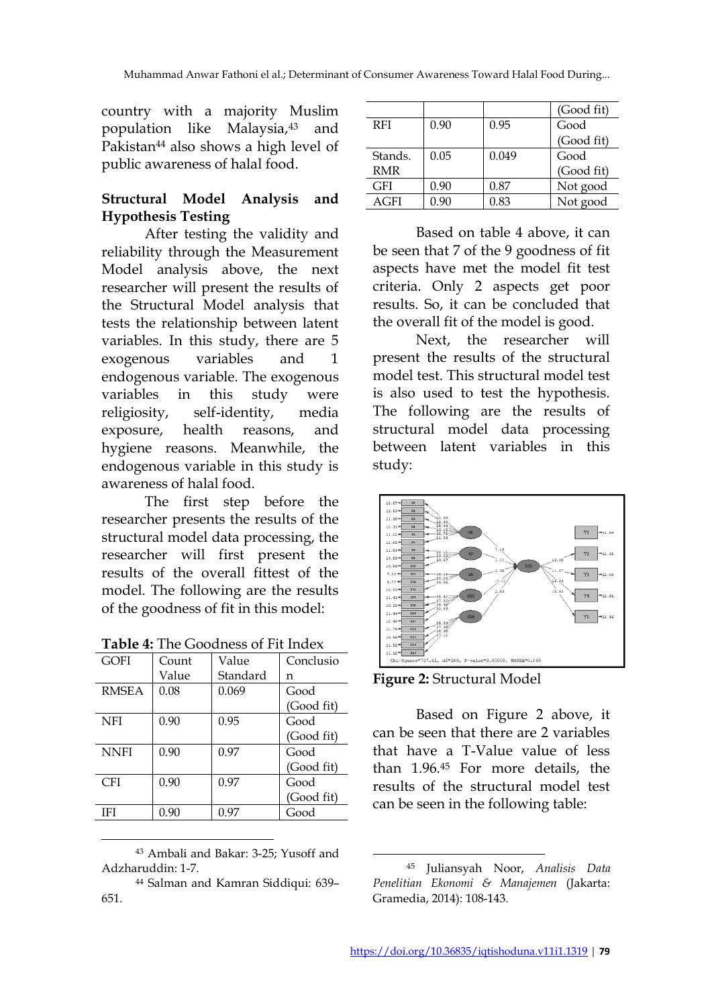country with a majority Muslim population like Malaysia,<sup>43</sup> and Pakistan<sup>44</sup> also shows a high level of public awareness of halal food.

# **Structural Model Analysis and Hypothesis Testing**

After testing the validity and reliability through the Measurement Model analysis above, the next researcher will present the results of the Structural Model analysis that tests the relationship between latent variables. In this study, there are 5 exogenous variables and 1 endogenous variable. The exogenous variables in this study were religiosity, self-identity, media exposure, health reasons, and hygiene reasons. Meanwhile, the endogenous variable in this study is awareness of halal food.

The first step before the researcher presents the results of the structural model data processing, the researcher will first present the results of the overall fittest of the model. The following are the results of the goodness of fit in this model:

| <b>Table 4:</b> The Goodness of Fit Index |       |             |           |  |  |
|-------------------------------------------|-------|-------------|-----------|--|--|
| GOFI                                      | Count | Value       | Conclusio |  |  |
|                                           | $V_0$ | $C$ tondord |           |  |  |

| \ 1\ <i>)</i> I ` I | Coun  | v alue   | CUIRTUOIU  |
|---------------------|-------|----------|------------|
|                     | Value | Standard | n          |
| <b>RMSEA</b>        | 0.08  | 0.069    | Good       |
|                     |       |          | (Good fit) |
| NFI                 | 0.90  | 0.95     | Good       |
|                     |       |          | (Good fit) |
| <b>NNFI</b>         | 0.90  | 0.97     | Good       |
|                     |       |          | (Good fit) |
| <b>CFI</b>          | 0.90  | 0.97     | Good       |
|                     |       |          | (Good fit) |
| IFI                 | 0.90  | 0.97     | Good       |
|                     |       |          |            |

<sup>43</sup> Ambali and Bakar: 3-25; Yusoff and Adzharuddin: 1-7.

 $\overline{a}$ 

|             |      |       | (Good fit) |
|-------------|------|-------|------------|
| <b>RFI</b>  | 0.90 | 0.95  | Good       |
|             |      |       | (Good fit) |
| Stands.     | 0.05 | 0.049 | Good       |
| RMR         |      |       | (Good fit) |
| GFI         | 0.90 | 0.87  | Not good   |
| <b>AGFI</b> | 0.90 | 0.83  | Not good   |

Based on table 4 above, it can be seen that 7 of the 9 goodness of fit aspects have met the model fit test criteria. Only 2 aspects get poor results. So, it can be concluded that the overall fit of the model is good.

Next, the researcher will present the results of the structural model test. This structural model test is also used to test the hypothesis. The following are the results of structural model data processing between latent variables in this study:





Based on Figure 2 above, it can be seen that there are 2 variables that have a T-Value value of less than 1.96.<sup>45</sup> For more details, the results of the structural model test can be seen in the following table:

<sup>44</sup> Salman and Kamran Siddiqui: 639– 651.

l <sup>45</sup> Juliansyah Noor, *Analisis Data Penelitian Ekonomi & Manajemen* (Jakarta: Gramedia, 2014): 108-143.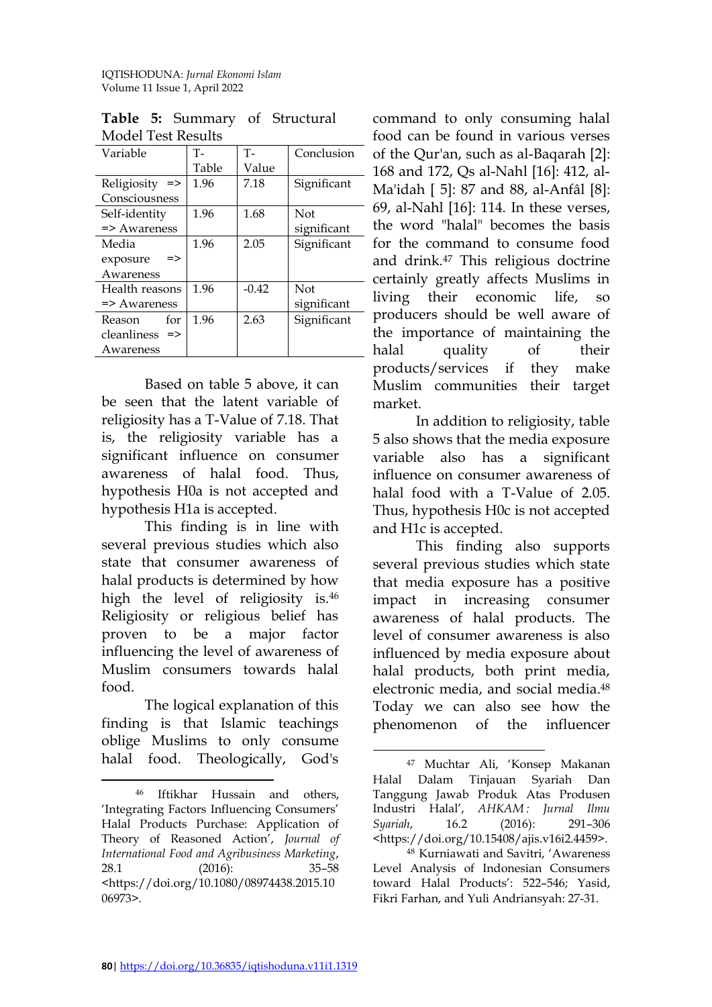|                              | www.com |         |             |  |  |
|------------------------------|---------|---------|-------------|--|--|
| Variable                     | Т-      | $T -$   | Conclusion  |  |  |
|                              | Table   | Value   |             |  |  |
| Religiosity<br>$\Rightarrow$ | 1.96    | 7.18    | Significant |  |  |
| Consciousness                |         |         |             |  |  |
| Self-identity                | 1.96    | 1.68    | <b>Not</b>  |  |  |
| $\Rightarrow$ Awareness      |         |         | significant |  |  |
| Media                        | 1.96    | 2.05    | Significant |  |  |
| =><br>exposure               |         |         |             |  |  |
| Awareness                    |         |         |             |  |  |
| Health reasons               | 1.96    | $-0.42$ | <b>Not</b>  |  |  |
| $\Rightarrow$ Awareness      |         |         | significant |  |  |
| for<br>Reason                | 1.96    | 2.63    | Significant |  |  |
| cleanliness<br>=>            |         |         |             |  |  |
| Awareness                    |         |         |             |  |  |

**Table 5:** Summary of Structural Model Test Results

Based on table 5 above, it can be seen that the latent variable of religiosity has a T-Value of 7.18. That is, the religiosity variable has a significant influence on consumer awareness of halal food. Thus, hypothesis H0a is not accepted and hypothesis H1a is accepted.

This finding is in line with several previous studies which also state that consumer awareness of halal products is determined by how high the level of religiosity is. 46 Religiosity or religious belief has proven to be a major factor influencing the level of awareness of Muslim consumers towards halal food.

The logical explanation of this finding is that Islamic teachings oblige Muslims to only consume halal food. Theologically, God's

command to only consuming halal food can be found in various verses of the Qur'an, such as al-Baqarah [2]: 168 and 172, Qs al-Nahl [16]: 412, al-Ma'idah [ 5]: 87 and 88, al-Anfâl [8]: 69, al-Nahl [16]: 114. In these verses, the word "halal" becomes the basis for the command to consume food and drink.<sup>47</sup> This religious doctrine certainly greatly affects Muslims in living their economic life, so producers should be well aware of the importance of maintaining the halal quality of their products/services if they make Muslim communities their target market.

In addition to religiosity, table 5 also shows that the media exposure variable also has a significant influence on consumer awareness of halal food with a T-Value of 2.05. Thus, hypothesis H0c is not accepted and H1c is accepted.

This finding also supports several previous studies which state that media exposure has a positive impact in increasing consumer awareness of halal products. The level of consumer awareness is also influenced by media exposure about halal products, both print media, electronic media, and social media. 48 Today we can also see how the phenomenon of the influencer

 $\overline{a}$ <sup>46</sup> Iftikhar Hussain and others, 'Integrating Factors Influencing Consumers' Halal Products Purchase: Application of Theory of Reasoned Action', *Journal of International Food and Agribusiness Marketing*, 28.1 (2016): 35–58 <https://doi.org/10.1080/08974438.2015.10 06973>.

l <sup>47</sup> Muchtar Ali, 'Konsep Makanan Halal Dalam Tinjauan Syariah Dan Tanggung Jawab Produk Atas Produsen Industri Halal', *AHKAM : Jurnal Ilmu Syariah*, 16.2 (2016): 291–306 <https://doi.org/10.15408/ajis.v16i2.4459>.

<sup>48</sup> Kurniawati and Savitri, 'Awareness Level Analysis of Indonesian Consumers toward Halal Products': 522–546; Yasid, Fikri Farhan, and Yuli Andriansyah: 27-31.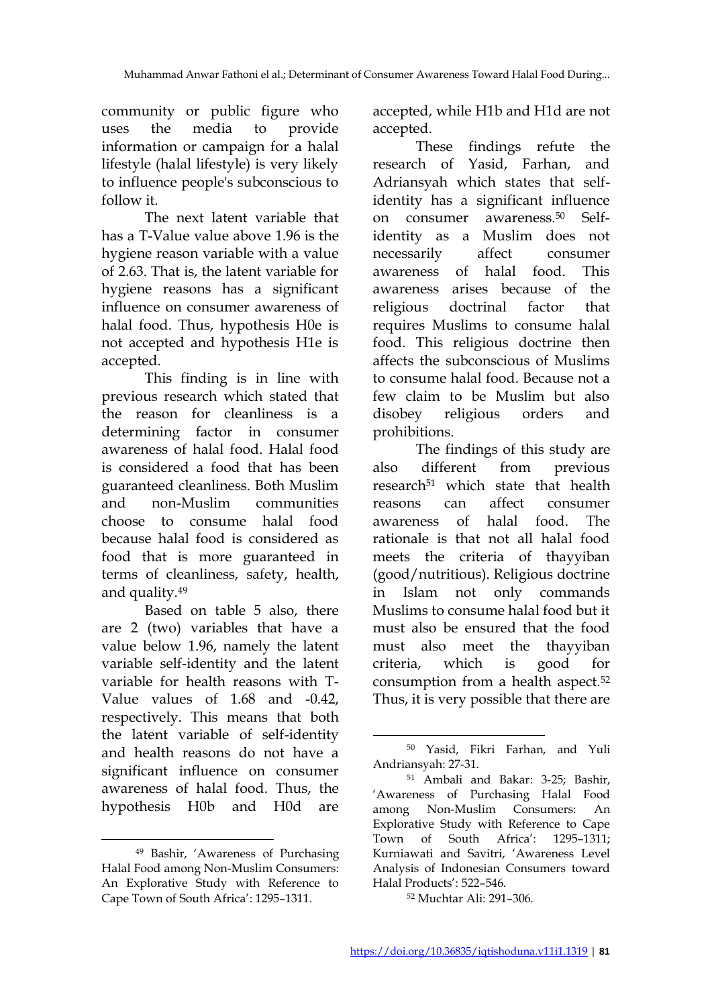community or public figure who uses the media to provide information or campaign for a halal lifestyle (halal lifestyle) is very likely to influence people's subconscious to follow it.

The next latent variable that has a T-Value value above 1.96 is the hygiene reason variable with a value of 2.63. That is, the latent variable for hygiene reasons has a significant influence on consumer awareness of halal food. Thus, hypothesis H0e is not accepted and hypothesis H1e is accepted.

This finding is in line with previous research which stated that the reason for cleanliness is a determining factor in consumer awareness of halal food. Halal food is considered a food that has been guaranteed cleanliness. Both Muslim and non-Muslim communities choose to consume halal food because halal food is considered as food that is more guaranteed in terms of cleanliness, safety, health, and quality.<sup>49</sup>

Based on table 5 also, there are 2 (two) variables that have a value below 1.96, namely the latent variable self-identity and the latent variable for health reasons with T-Value values of 1.68 and -0.42, respectively. This means that both the latent variable of self-identity and health reasons do not have a significant influence on consumer awareness of halal food. Thus, the hypothesis H0b and H0d are

 $\overline{a}$ 

accepted, while H1b and H1d are not accepted.

These findings refute the research of Yasid, Farhan, and Adriansyah which states that selfidentity has a significant influence on consumer awareness.<sup>50</sup> Selfidentity as a Muslim does not necessarily affect consumer awareness of halal food. This awareness arises because of the religious doctrinal factor that requires Muslims to consume halal food. This religious doctrine then affects the subconscious of Muslims to consume halal food. Because not a few claim to be Muslim but also disobey religious orders and prohibitions.

The findings of this study are also different from previous research<sup>51</sup> which state that health reasons can affect consumer awareness of halal food. The rationale is that not all halal food meets the criteria of thayyiban (good/nutritious). Religious doctrine in Islam not only commands Muslims to consume halal food but it must also be ensured that the food must also meet the thayyiban criteria, which is good for consumption from a health aspect.<sup>52</sup> Thus, it is very possible that there are

<sup>52</sup> Muchtar Ali: 291–306.

<sup>49</sup> Bashir, 'Awareness of Purchasing Halal Food among Non-Muslim Consumers: An Explorative Study with Reference to Cape Town of South Africa': 1295–1311.

l <sup>50</sup> Yasid, Fikri Farhan, and Yuli Andriansyah: 27-31.

<sup>51</sup> Ambali and Bakar: 3-25; Bashir, 'Awareness of Purchasing Halal Food among Non-Muslim Consumers: An Explorative Study with Reference to Cape Town of South Africa': 1295–1311; Kurniawati and Savitri, 'Awareness Level Analysis of Indonesian Consumers toward Halal Products': 522–546.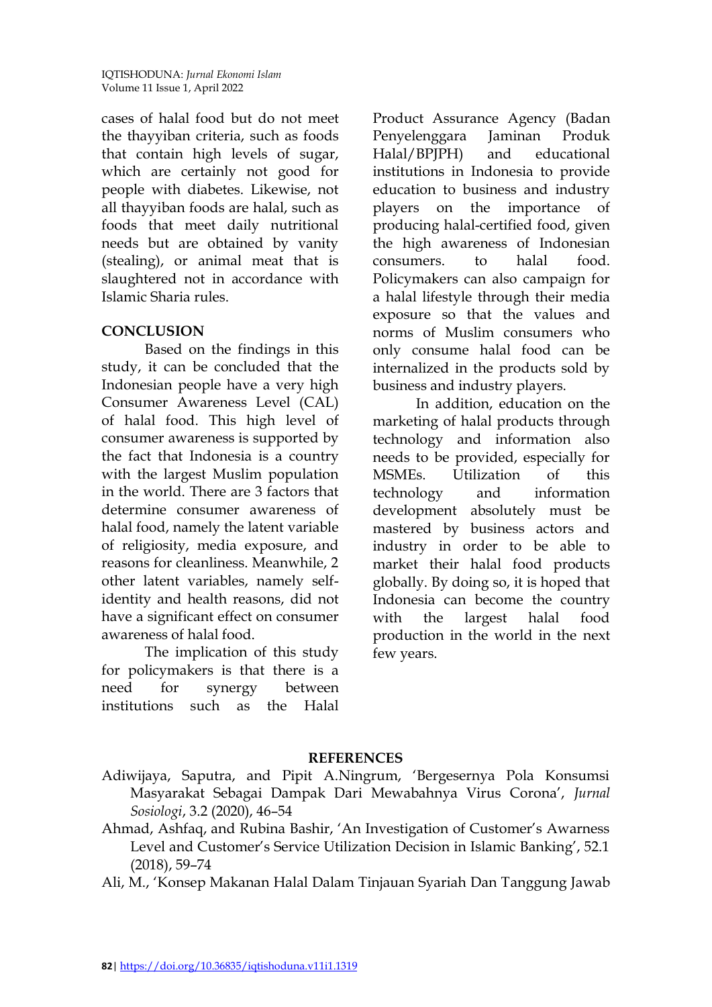cases of halal food but do not meet the thayyiban criteria, such as foods that contain high levels of sugar, which are certainly not good for people with diabetes. Likewise, not all thayyiban foods are halal, such as foods that meet daily nutritional needs but are obtained by vanity (stealing), or animal meat that is slaughtered not in accordance with Islamic Sharia rules.

# **CONCLUSION**

Based on the findings in this study, it can be concluded that the Indonesian people have a very high Consumer Awareness Level (CAL) of halal food. This high level of consumer awareness is supported by the fact that Indonesia is a country with the largest Muslim population in the world. There are 3 factors that determine consumer awareness of halal food, namely the latent variable of religiosity, media exposure, and reasons for cleanliness. Meanwhile, 2 other latent variables, namely selfidentity and health reasons, did not have a significant effect on consumer awareness of halal food.

The implication of this study for policymakers is that there is a need for synergy between institutions such as the Halal Product Assurance Agency (Badan Penyelenggara Jaminan Produk Halal/BPJPH) and educational institutions in Indonesia to provide education to business and industry players on the importance of producing halal-certified food, given the high awareness of Indonesian consumers. to halal food. Policymakers can also campaign for a halal lifestyle through their media exposure so that the values and norms of Muslim consumers who only consume halal food can be internalized in the products sold by business and industry players.

In addition, education on the marketing of halal products through technology and information also needs to be provided, especially for MSMEs. Utilization of this technology and information development absolutely must be mastered by business actors and industry in order to be able to market their halal food products globally. By doing so, it is hoped that Indonesia can become the country with the largest halal food production in the world in the next few years.

# **REFERENCES**

- Adiwijaya, Saputra, and Pipit A.Ningrum, 'Bergesernya Pola Konsumsi Masyarakat Sebagai Dampak Dari Mewabahnya Virus Corona', *Jurnal Sosiologi*, 3.2 (2020), 46–54
- Ahmad, Ashfaq, and Rubina Bashir, 'An Investigation of Customer's Awarness Level and Customer's Service Utilization Decision in Islamic Banking', 52.1 (2018), 59–74

Ali, M., 'Konsep Makanan Halal Dalam Tinjauan Syariah Dan Tanggung Jawab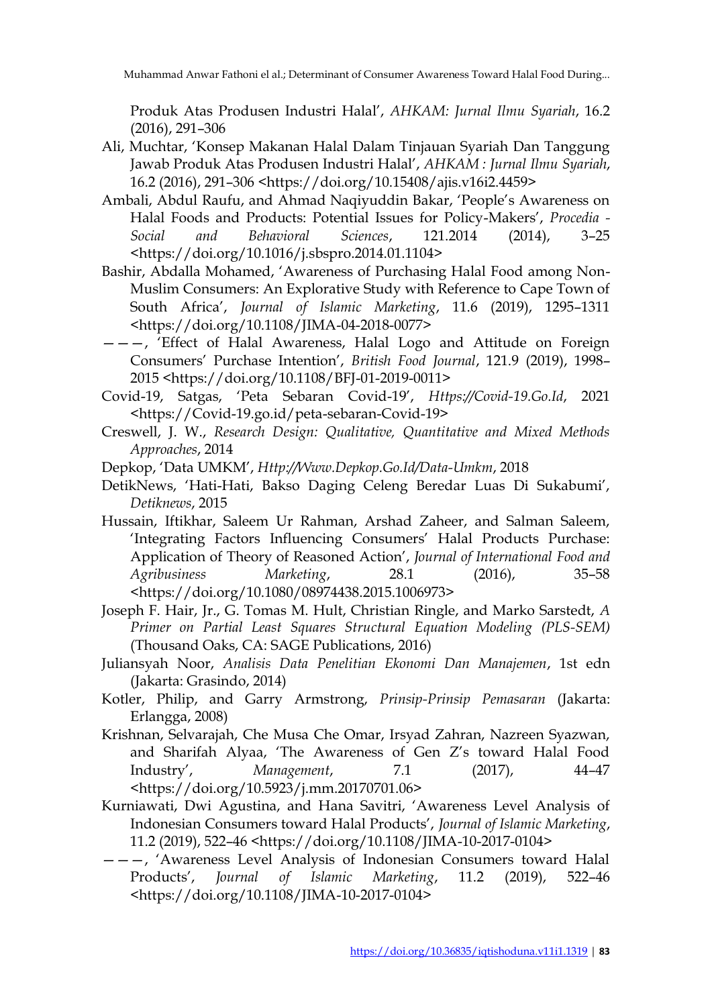Muhammad Anwar Fathoni el al.; Determinant of Consumer Awareness Toward Halal Food During...

Produk Atas Produsen Industri Halal', *AHKAM: Jurnal Ilmu Syariah*, 16.2 (2016), 291–306

- Ali, Muchtar, 'Konsep Makanan Halal Dalam Tinjauan Syariah Dan Tanggung Jawab Produk Atas Produsen Industri Halal', *AHKAM : Jurnal Ilmu Syariah*, 16.2 (2016), 291–306 <https://doi.org/10.15408/ajis.v16i2.4459>
- Ambali, Abdul Raufu, and Ahmad Naqiyuddin Bakar, 'People's Awareness on Halal Foods and Products: Potential Issues for Policy-Makers', *Procedia - Social and Behavioral Sciences*, 121.2014 (2014), 3–25 <https://doi.org/10.1016/j.sbspro.2014.01.1104>
- Bashir, Abdalla Mohamed, 'Awareness of Purchasing Halal Food among Non-Muslim Consumers: An Explorative Study with Reference to Cape Town of South Africa', *Journal of Islamic Marketing*, 11.6 (2019), 1295–1311 <https://doi.org/10.1108/JIMA-04-2018-0077>
- ———, 'Effect of Halal Awareness, Halal Logo and Attitude on Foreign Consumers' Purchase Intention', *British Food Journal*, 121.9 (2019), 1998– 2015 <https://doi.org/10.1108/BFJ-01-2019-0011>
- Covid-19, Satgas, 'Peta Sebaran Covid-19', *Https://Covid-19.Go.Id*, 2021 <https://Covid-19.go.id/peta-sebaran-Covid-19>
- Creswell, J. W., *Research Design: Qualitative, Quantitative and Mixed Methods Approaches*, 2014
- Depkop, 'Data UMKM', *Http://Www.Depkop.Go.Id/Data-Umkm*, 2018
- DetikNews, 'Hati-Hati, Bakso Daging Celeng Beredar Luas Di Sukabumi', *Detiknews*, 2015
- Hussain, Iftikhar, Saleem Ur Rahman, Arshad Zaheer, and Salman Saleem, 'Integrating Factors Influencing Consumers' Halal Products Purchase: Application of Theory of Reasoned Action', *Journal of International Food and Agribusiness Marketing*, 28.1 (2016), 35–58 <https://doi.org/10.1080/08974438.2015.1006973>
- Joseph F. Hair, Jr., G. Tomas M. Hult, Christian Ringle, and Marko Sarstedt, *A Primer on Partial Least Squares Structural Equation Modeling (PLS-SEM)* (Thousand Oaks, CA: SAGE Publications, 2016)
- Juliansyah Noor, *Analisis Data Penelitian Ekonomi Dan Manajemen*, 1st edn (Jakarta: Grasindo, 2014)
- Kotler, Philip, and Garry Armstrong, *Prinsip-Prinsip Pemasaran* (Jakarta: Erlangga, 2008)
- Krishnan, Selvarajah, Che Musa Che Omar, Irsyad Zahran, Nazreen Syazwan, and Sharifah Alyaa, 'The Awareness of Gen Z's toward Halal Food Industry', *Management*, 7.1 (2017), 44–47 <https://doi.org/10.5923/j.mm.20170701.06>
- Kurniawati, Dwi Agustina, and Hana Savitri, 'Awareness Level Analysis of Indonesian Consumers toward Halal Products', *Journal of Islamic Marketing*, 11.2 (2019), 522–46 <https://doi.org/10.1108/JIMA-10-2017-0104>
- ———, 'Awareness Level Analysis of Indonesian Consumers toward Halal Products', *Journal of Islamic Marketing*, 11.2 (2019), 522–46 <https://doi.org/10.1108/JIMA-10-2017-0104>